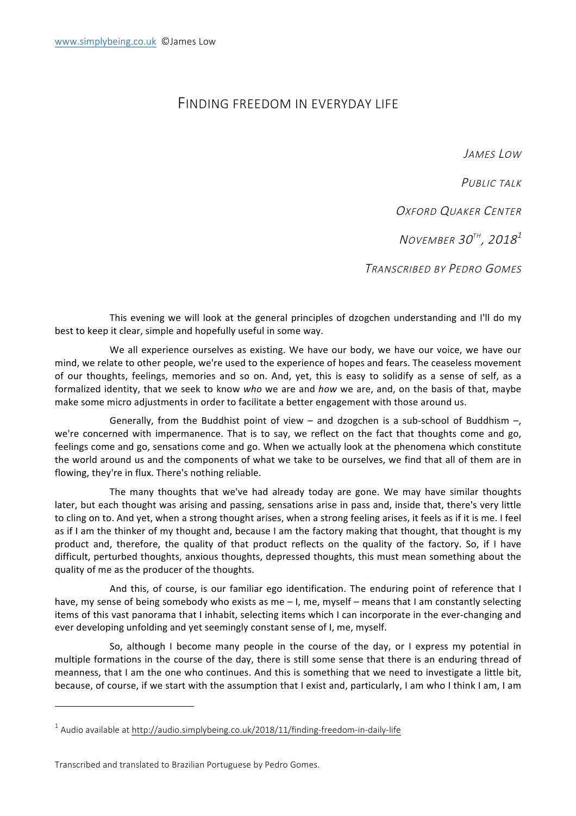## FINDING FREEDOM IN EVERYDAY LIFE

JAMES LOW

PUBLIC TALK

OXFORD QUAKER CENTER

NOVEMBER  $30^{th}$ ,  $2018^{1}$ 

TRANSCRIBED BY PEDRO GOMES

This evening we will look at the general principles of dzogchen understanding and I'll do my best to keep it clear, simple and hopefully useful in some way.

We all experience ourselves as existing. We have our body, we have our voice, we have our mind, we relate to other people, we're used to the experience of hopes and fears. The ceaseless movement of our thoughts, feelings, memories and so on. And, yet, this is easy to solidify as a sense of self, as a formalized identity, that we seek to know *who* we are and *how* we are, and, on the basis of that, maybe make some micro adjustments in order to facilitate a better engagement with those around us.

Generally, from the Buddhist point of view – and dzogchen is a sub-school of Buddhism –, we're concerned with impermanence. That is to say, we reflect on the fact that thoughts come and go, feelings come and go, sensations come and go. When we actually look at the phenomena which constitute the world around us and the components of what we take to be ourselves, we find that all of them are in flowing, they're in flux. There's nothing reliable.

The many thoughts that we've had already today are gone. We may have similar thoughts later, but each thought was arising and passing, sensations arise in pass and, inside that, there's very little to cling on to. And yet, when a strong thought arises, when a strong feeling arises, it feels as if it is me. I feel as if I am the thinker of my thought and, because I am the factory making that thought, that thought is my product and, therefore, the quality of that product reflects on the quality of the factory. So, if I have difficult, perturbed thoughts, anxious thoughts, depressed thoughts, this must mean something about the quality of me as the producer of the thoughts.

And this, of course, is our familiar ego identification. The enduring point of reference that I have, my sense of being somebody who exists as me  $-$  I, me, myself – means that I am constantly selecting items of this vast panorama that I inhabit, selecting items which I can incorporate in the ever-changing and ever developing unfolding and yet seemingly constant sense of I, me, myself.

So, although I become many people in the course of the day, or I express my potential in multiple formations in the course of the day, there is still some sense that there is an enduring thread of meanness, that I am the one who continues. And this is something that we need to investigate a little bit, because, of course, if we start with the assumption that I exist and, particularly, I am who I think I am, I am

 $\overline{a}$ 

 $1$  Audio available at http://audio.simplybeing.co.uk/2018/11/finding-freedom-in-daily-life

Transcribed and translated to Brazilian Portuguese by Pedro Gomes.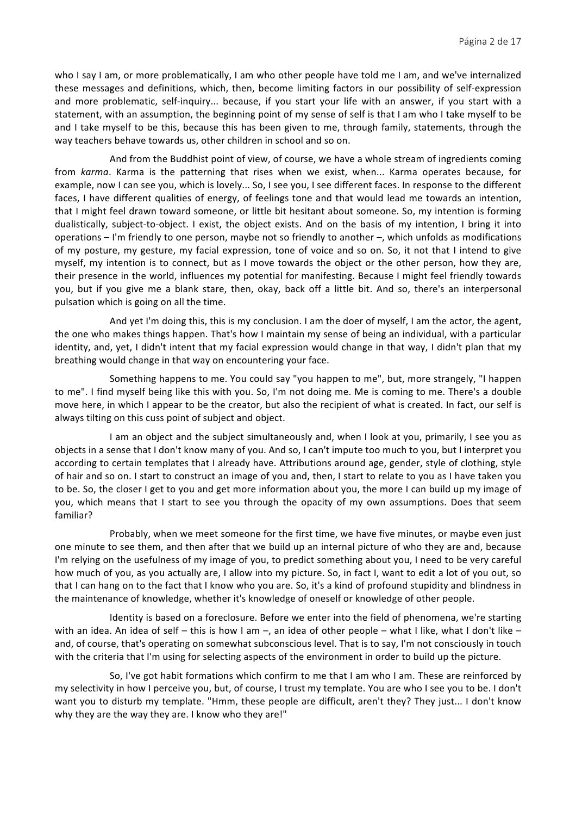who I say I am, or more problematically, I am who other people have told me I am, and we've internalized these messages and definitions, which, then, become limiting factors in our possibility of self-expression and more problematic, self-inquiry... because, if you start your life with an answer, if you start with a statement, with an assumption, the beginning point of my sense of self is that I am who I take myself to be and I take myself to be this, because this has been given to me, through family, statements, through the way teachers behave towards us, other children in school and so on.

And from the Buddhist point of view, of course, we have a whole stream of ingredients coming from *karma*. Karma is the patterning that rises when we exist, when... Karma operates because, for example, now I can see you, which is lovely... So, I see you, I see different faces. In response to the different faces, I have different qualities of energy, of feelings tone and that would lead me towards an intention, that I might feel drawn toward someone, or little bit hesitant about someone. So, my intention is forming dualistically, subject-to-object. I exist, the object exists. And on the basis of my intention, I bring it into operations – I'm friendly to one person, maybe not so friendly to another –, which unfolds as modifications of my posture, my gesture, my facial expression, tone of voice and so on. So, it not that I intend to give myself, my intention is to connect, but as I move towards the object or the other person, how they are, their presence in the world, influences my potential for manifesting. Because I might feel friendly towards you, but if you give me a blank stare, then, okay, back off a little bit. And so, there's an interpersonal pulsation which is going on all the time.

And yet I'm doing this, this is my conclusion. I am the doer of myself, I am the actor, the agent, the one who makes things happen. That's how I maintain my sense of being an individual, with a particular identity, and, yet, I didn't intent that my facial expression would change in that way, I didn't plan that my breathing would change in that way on encountering your face.

Something happens to me. You could say "you happen to me", but, more strangely, "I happen to me". I find myself being like this with you. So, I'm not doing me. Me is coming to me. There's a double move here, in which I appear to be the creator, but also the recipient of what is created. In fact, our self is always tilting on this cuss point of subject and object.

I am an object and the subject simultaneously and, when I look at you, primarily, I see you as objects in a sense that I don't know many of you. And so, I can't impute too much to you, but I interpret you according to certain templates that I already have. Attributions around age, gender, style of clothing, style of hair and so on. I start to construct an image of you and, then, I start to relate to you as I have taken you to be. So, the closer I get to you and get more information about you, the more I can build up my image of you, which means that I start to see you through the opacity of my own assumptions. Does that seem familiar?

Probably, when we meet someone for the first time, we have five minutes, or maybe even just one minute to see them, and then after that we build up an internal picture of who they are and, because I'm relying on the usefulness of my image of you, to predict something about you, I need to be very careful how much of you, as you actually are, I allow into my picture. So, in fact I, want to edit a lot of you out, so that I can hang on to the fact that I know who you are. So, it's a kind of profound stupidity and blindness in the maintenance of knowledge, whether it's knowledge of oneself or knowledge of other people.

Identity is based on a foreclosure. Before we enter into the field of phenomena, we're starting with an idea. An idea of self – this is how I am –, an idea of other people – what I like, what I don't like – and, of course, that's operating on somewhat subconscious level. That is to say, I'm not consciously in touch with the criteria that I'm using for selecting aspects of the environment in order to build up the picture.

So, I've got habit formations which confirm to me that I am who I am. These are reinforced by my selectivity in how I perceive you, but, of course, I trust my template. You are who I see you to be. I don't want you to disturb my template. "Hmm, these people are difficult, aren't they? They just... I don't know why they are the way they are. I know who they are!"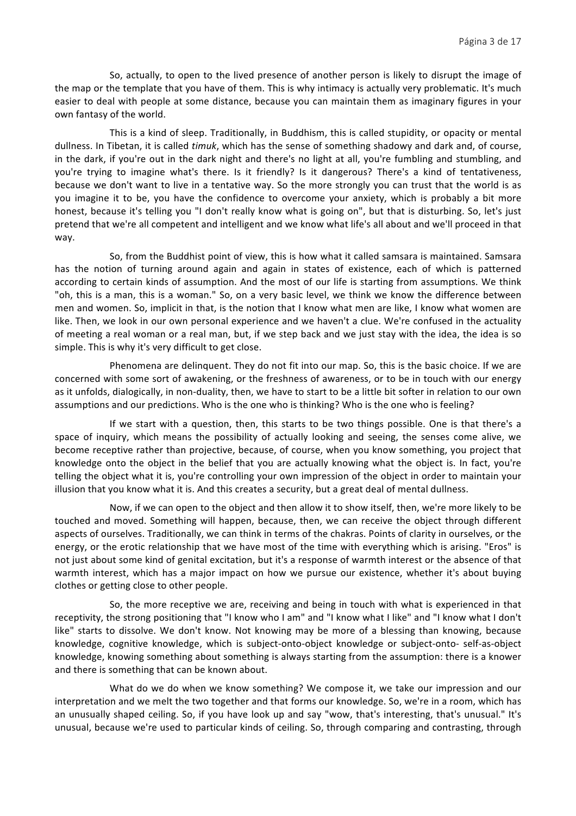So, actually, to open to the lived presence of another person is likely to disrupt the image of the map or the template that you have of them. This is why intimacy is actually very problematic. It's much easier to deal with people at some distance, because you can maintain them as imaginary figures in your own fantasy of the world.

This is a kind of sleep. Traditionally, in Buddhism, this is called stupidity, or opacity or mental dullness. In Tibetan, it is called *timuk*, which has the sense of something shadowy and dark and, of course, in the dark, if you're out in the dark night and there's no light at all, you're fumbling and stumbling, and you're trying to imagine what's there. Is it friendly? Is it dangerous? There's a kind of tentativeness, because we don't want to live in a tentative way. So the more strongly you can trust that the world is as you imagine it to be, you have the confidence to overcome your anxiety, which is probably a bit more honest, because it's telling you "I don't really know what is going on", but that is disturbing. So, let's just pretend that we're all competent and intelligent and we know what life's all about and we'll proceed in that way.

So, from the Buddhist point of view, this is how what it called samsara is maintained. Samsara has the notion of turning around again and again in states of existence, each of which is patterned according to certain kinds of assumption. And the most of our life is starting from assumptions. We think "oh, this is a man, this is a woman." So, on a very basic level, we think we know the difference between men and women. So, implicit in that, is the notion that I know what men are like, I know what women are like. Then, we look in our own personal experience and we haven't a clue. We're confused in the actuality of meeting a real woman or a real man, but, if we step back and we just stay with the idea, the idea is so simple. This is why it's very difficult to get close.

Phenomena are delinquent. They do not fit into our map. So, this is the basic choice. If we are concerned with some sort of awakening, or the freshness of awareness, or to be in touch with our energy as it unfolds, dialogically, in non-duality, then, we have to start to be a little bit softer in relation to our own assumptions and our predictions. Who is the one who is thinking? Who is the one who is feeling?

If we start with a question, then, this starts to be two things possible. One is that there's a space of inquiry, which means the possibility of actually looking and seeing, the senses come alive, we become receptive rather than projective, because, of course, when you know something, you project that knowledge onto the object in the belief that you are actually knowing what the object is. In fact, you're telling the object what it is, you're controlling your own impression of the object in order to maintain your illusion that you know what it is. And this creates a security, but a great deal of mental dullness.

Now, if we can open to the object and then allow it to show itself, then, we're more likely to be touched and moved. Something will happen, because, then, we can receive the object through different aspects of ourselves. Traditionally, we can think in terms of the chakras. Points of clarity in ourselves, or the energy, or the erotic relationship that we have most of the time with everything which is arising. "Eros" is not just about some kind of genital excitation, but it's a response of warmth interest or the absence of that warmth interest, which has a major impact on how we pursue our existence, whether it's about buying clothes or getting close to other people.

So, the more receptive we are, receiving and being in touch with what is experienced in that receptivity, the strong positioning that "I know who I am" and "I know what I like" and "I know what I don't like" starts to dissolve. We don't know. Not knowing may be more of a blessing than knowing, because knowledge, cognitive knowledge, which is subject-onto-object knowledge or subject-onto- self-as-object knowledge, knowing something about something is always starting from the assumption: there is a knower and there is something that can be known about.

What do we do when we know something? We compose it, we take our impression and our interpretation and we melt the two together and that forms our knowledge. So, we're in a room, which has an unusually shaped ceiling. So, if you have look up and say "wow, that's interesting, that's unusual." It's unusual, because we're used to particular kinds of ceiling. So, through comparing and contrasting, through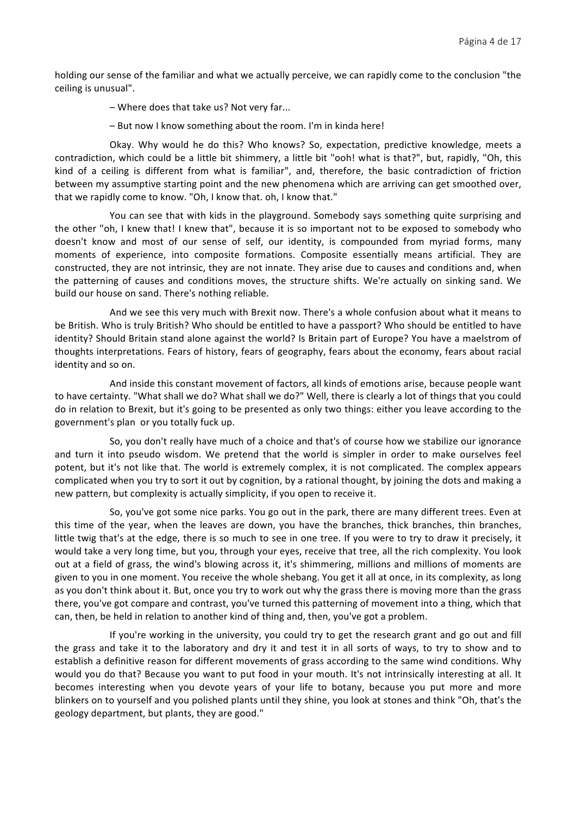holding our sense of the familiar and what we actually perceive, we can rapidly come to the conclusion "the ceiling is unusual".

- Where does that take us? Not very far...
- But now I know something about the room. I'm in kinda here!

Okay. Why would he do this? Who knows? So, expectation, predictive knowledge, meets a contradiction, which could be a little bit shimmery, a little bit "ooh! what is that?", but, rapidly, "Oh, this kind of a ceiling is different from what is familiar", and, therefore, the basic contradiction of friction between my assumptive starting point and the new phenomena which are arriving can get smoothed over, that we rapidly come to know. "Oh, I know that. oh, I know that."

You can see that with kids in the playground. Somebody says something quite surprising and the other "oh, I knew that! I knew that", because it is so important not to be exposed to somebody who doesn't know and most of our sense of self, our identity, is compounded from myriad forms, many moments of experience, into composite formations. Composite essentially means artificial. They are constructed, they are not intrinsic, they are not innate. They arise due to causes and conditions and, when the patterning of causes and conditions moves, the structure shifts. We're actually on sinking sand. We build our house on sand. There's nothing reliable.

And we see this very much with Brexit now. There's a whole confusion about what it means to be British. Who is truly British? Who should be entitled to have a passport? Who should be entitled to have identity? Should Britain stand alone against the world? Is Britain part of Europe? You have a maelstrom of thoughts interpretations. Fears of history, fears of geography, fears about the economy, fears about racial identity and so on.

And inside this constant movement of factors, all kinds of emotions arise, because people want to have certainty. "What shall we do? What shall we do?" Well, there is clearly a lot of things that you could do in relation to Brexit, but it's going to be presented as only two things: either you leave according to the government's plan or you totally fuck up.

So, you don't really have much of a choice and that's of course how we stabilize our ignorance and turn it into pseudo wisdom. We pretend that the world is simpler in order to make ourselves feel potent, but it's not like that. The world is extremely complex, it is not complicated. The complex appears complicated when you try to sort it out by cognition, by a rational thought, by joining the dots and making a new pattern, but complexity is actually simplicity, if you open to receive it.

So, you've got some nice parks. You go out in the park, there are many different trees. Even at this time of the year, when the leaves are down, you have the branches, thick branches, thin branches, little twig that's at the edge, there is so much to see in one tree. If you were to try to draw it precisely, it would take a very long time, but you, through your eyes, receive that tree, all the rich complexity. You look out at a field of grass, the wind's blowing across it, it's shimmering, millions and millions of moments are given to you in one moment. You receive the whole shebang. You get it all at once, in its complexity, as long as you don't think about it. But, once you try to work out why the grass there is moving more than the grass there, you've got compare and contrast, you've turned this patterning of movement into a thing, which that can, then, be held in relation to another kind of thing and, then, you've got a problem.

If you're working in the university, you could try to get the research grant and go out and fill the grass and take it to the laboratory and dry it and test it in all sorts of ways, to try to show and to establish a definitive reason for different movements of grass according to the same wind conditions. Why would you do that? Because you want to put food in your mouth. It's not intrinsically interesting at all. It becomes interesting when you devote years of your life to botany, because you put more and more blinkers on to yourself and you polished plants until they shine, you look at stones and think "Oh, that's the geology department, but plants, they are good."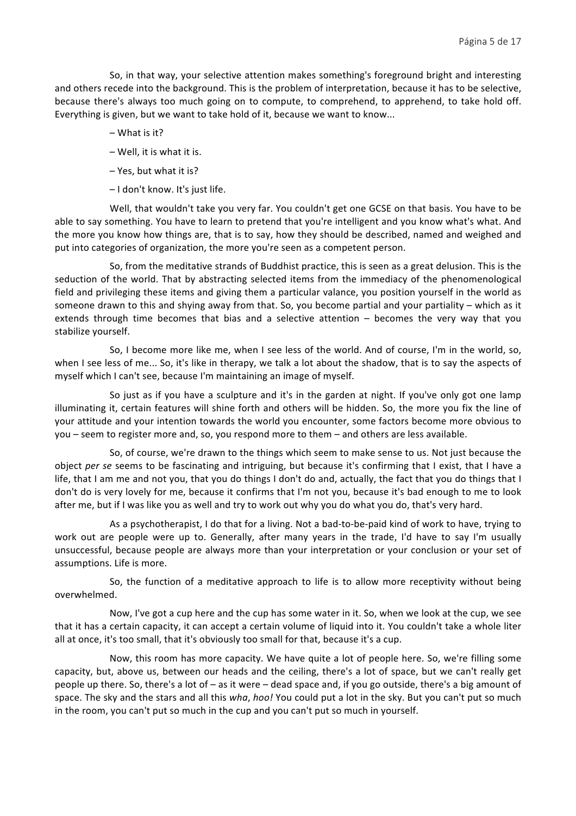So, in that way, your selective attention makes something's foreground bright and interesting and others recede into the background. This is the problem of interpretation, because it has to be selective, because there's always too much going on to compute, to comprehend, to apprehend, to take hold off. Everything is given, but we want to take hold of it, because we want to know...

- $-$  What is it?
- Well, it is what it is.
- $-$  Yes, but what it is?
- I don't know. It's just life.

Well, that wouldn't take you very far. You couldn't get one GCSE on that basis. You have to be able to say something. You have to learn to pretend that you're intelligent and you know what's what. And the more you know how things are, that is to say, how they should be described, named and weighed and put into categories of organization, the more you're seen as a competent person.

So, from the meditative strands of Buddhist practice, this is seen as a great delusion. This is the seduction of the world. That by abstracting selected items from the immediacy of the phenomenological field and privileging these items and giving them a particular valance, you position yourself in the world as someone drawn to this and shying away from that. So, you become partial and your partiality – which as it extends through time becomes that bias and a selective attention  $-$  becomes the very way that you stabilize yourself.

So, I become more like me, when I see less of the world. And of course, I'm in the world, so, when I see less of me... So, it's like in therapy, we talk a lot about the shadow, that is to say the aspects of myself which I can't see, because I'm maintaining an image of myself.

So just as if you have a sculpture and it's in the garden at night. If you've only got one lamp illuminating it, certain features will shine forth and others will be hidden. So, the more you fix the line of your attitude and your intention towards the world you encounter, some factors become more obvious to you – seem to register more and, so, you respond more to them – and others are less available.

So, of course, we're drawn to the things which seem to make sense to us. Not just because the object *per se* seems to be fascinating and intriguing, but because it's confirming that I exist, that I have a life, that I am me and not you, that you do things I don't do and, actually, the fact that you do things that I don't do is very lovely for me, because it confirms that I'm not you, because it's bad enough to me to look after me, but if I was like you as well and try to work out why you do what you do, that's very hard.

As a psychotherapist, I do that for a living. Not a bad-to-be-paid kind of work to have, trying to work out are people were up to. Generally, after many years in the trade, I'd have to say I'm usually unsuccessful, because people are always more than your interpretation or your conclusion or your set of assumptions. Life is more.

So, the function of a meditative approach to life is to allow more receptivity without being overwhelmed.

Now, I've got a cup here and the cup has some water in it. So, when we look at the cup, we see that it has a certain capacity, it can accept a certain volume of liquid into it. You couldn't take a whole liter all at once, it's too small, that it's obviously too small for that, because it's a cup.

Now, this room has more capacity. We have quite a lot of people here. So, we're filling some capacity, but, above us, between our heads and the ceiling, there's a lot of space, but we can't really get people up there. So, there's a lot of – as it were – dead space and, if you go outside, there's a big amount of space. The sky and the stars and all this *wha, hoo!* You could put a lot in the sky. But you can't put so much in the room, you can't put so much in the cup and you can't put so much in yourself.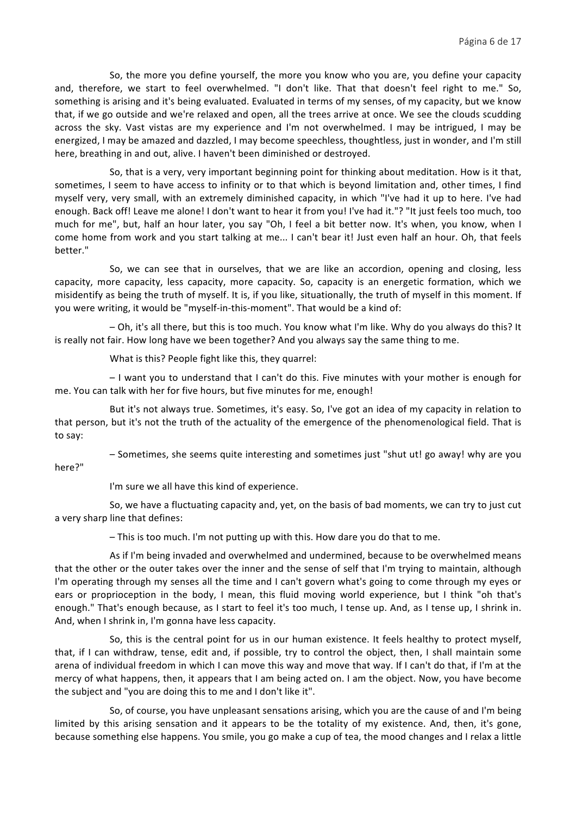So, the more you define yourself, the more you know who you are, you define your capacity and, therefore, we start to feel overwhelmed. "I don't like. That that doesn't feel right to me." So, something is arising and it's being evaluated. Evaluated in terms of my senses, of my capacity, but we know that, if we go outside and we're relaxed and open, all the trees arrive at once. We see the clouds scudding across the sky. Vast vistas are my experience and I'm not overwhelmed. I may be intrigued, I may be energized, I may be amazed and dazzled, I may become speechless, thoughtless, just in wonder, and I'm still here, breathing in and out, alive. I haven't been diminished or destroyed.

So, that is a very, very important beginning point for thinking about meditation. How is it that, sometimes, I seem to have access to infinity or to that which is beyond limitation and, other times, I find myself very, very small, with an extremely diminished capacity, in which "I've had it up to here. I've had enough. Back off! Leave me alone! I don't want to hear it from you! I've had it."? "It just feels too much, too much for me", but, half an hour later, you say "Oh, I feel a bit better now. It's when, you know, when I come home from work and you start talking at me... I can't bear it! Just even half an hour. Oh, that feels better."

So, we can see that in ourselves, that we are like an accordion, opening and closing, less capacity, more capacity, less capacity, more capacity. So, capacity is an energetic formation, which we misidentify as being the truth of myself. It is, if you like, situationally, the truth of myself in this moment. If you were writing, it would be "myself-in-this-moment". That would be a kind of:

- Oh, it's all there, but this is too much. You know what I'm like. Why do you always do this? It is really not fair. How long have we been together? And you always say the same thing to me.

What is this? People fight like this, they quarrel:

 $-$  I want you to understand that I can't do this. Five minutes with your mother is enough for me. You can talk with her for five hours, but five minutes for me, enough!

But it's not always true. Sometimes, it's easy. So, I've got an idea of my capacity in relation to that person, but it's not the truth of the actuality of the emergence of the phenomenological field. That is to say:

– Sometimes, she seems quite interesting and sometimes just "shut ut! go away! why are you here?"

I'm sure we all have this kind of experience.

So, we have a fluctuating capacity and, yet, on the basis of bad moments, we can try to just cut a very sharp line that defines:

- This is too much. I'm not putting up with this. How dare you do that to me.

As if I'm being invaded and overwhelmed and undermined, because to be overwhelmed means that the other or the outer takes over the inner and the sense of self that I'm trying to maintain, although I'm operating through my senses all the time and I can't govern what's going to come through my eyes or ears or proprioception in the body, I mean, this fluid moving world experience, but I think "oh that's enough." That's enough because, as I start to feel it's too much, I tense up. And, as I tense up, I shrink in. And, when I shrink in, I'm gonna have less capacity.

So, this is the central point for us in our human existence. It feels healthy to protect myself, that, if I can withdraw, tense, edit and, if possible, try to control the object, then, I shall maintain some arena of individual freedom in which I can move this way and move that way. If I can't do that, if I'm at the mercy of what happens, then, it appears that I am being acted on. I am the object. Now, you have become the subject and "you are doing this to me and I don't like it".

So, of course, you have unpleasant sensations arising, which you are the cause of and I'm being limited by this arising sensation and it appears to be the totality of my existence. And, then, it's gone, because something else happens. You smile, you go make a cup of tea, the mood changes and I relax a little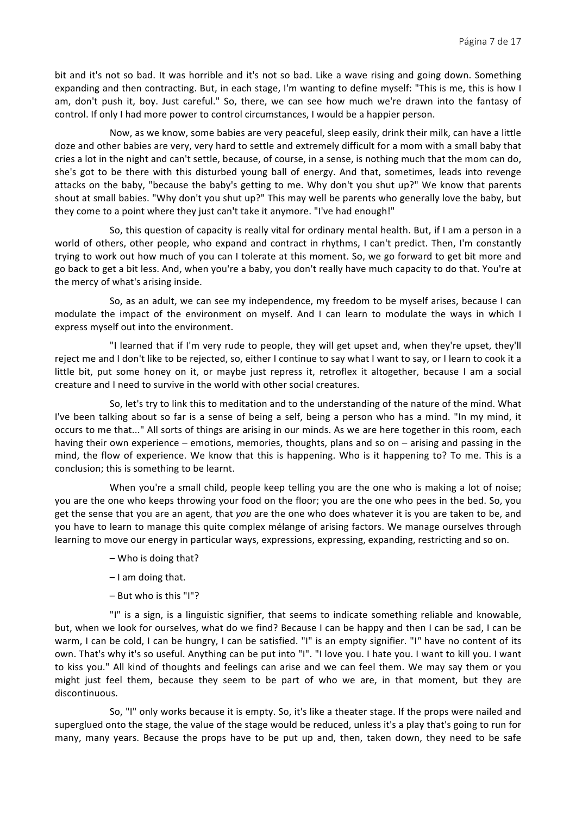bit and it's not so bad. It was horrible and it's not so bad. Like a wave rising and going down. Something expanding and then contracting. But, in each stage, I'm wanting to define myself: "This is me, this is how I am, don't push it, boy. Just careful." So, there, we can see how much we're drawn into the fantasy of control. If only I had more power to control circumstances, I would be a happier person.

Now, as we know, some babies are very peaceful, sleep easily, drink their milk, can have a little doze and other babies are very, very hard to settle and extremely difficult for a mom with a small baby that cries a lot in the night and can't settle, because, of course, in a sense, is nothing much that the mom can do, she's got to be there with this disturbed young ball of energy. And that, sometimes, leads into revenge attacks on the baby, "because the baby's getting to me. Why don't you shut up?" We know that parents shout at small babies. "Why don't you shut up?" This may well be parents who generally love the baby, but they come to a point where they just can't take it anymore. "I've had enough!"

So, this question of capacity is really vital for ordinary mental health. But, if I am a person in a world of others, other people, who expand and contract in rhythms, I can't predict. Then, I'm constantly trying to work out how much of you can I tolerate at this moment. So, we go forward to get bit more and go back to get a bit less. And, when you're a baby, you don't really have much capacity to do that. You're at the mercy of what's arising inside.

So, as an adult, we can see my independence, my freedom to be myself arises, because I can modulate the impact of the environment on myself. And I can learn to modulate the ways in which I express myself out into the environment.

"I learned that if I'm very rude to people, they will get upset and, when they're upset, they'll reject me and I don't like to be rejected, so, either I continue to say what I want to say, or I learn to cook it a little bit, put some honey on it, or maybe just repress it, retroflex it altogether, because I am a social creature and I need to survive in the world with other social creatures.

So, let's try to link this to meditation and to the understanding of the nature of the mind. What I've been talking about so far is a sense of being a self, being a person who has a mind. "In my mind, it occurs to me that..." All sorts of things are arising in our minds. As we are here together in this room, each having their own experience – emotions, memories, thoughts, plans and so on – arising and passing in the mind, the flow of experience. We know that this is happening. Who is it happening to? To me. This is a conclusion; this is something to be learnt.

When you're a small child, people keep telling you are the one who is making a lot of noise; you are the one who keeps throwing your food on the floor; you are the one who pees in the bed. So, you get the sense that you are an agent, that you are the one who does whatever it is you are taken to be, and you have to learn to manage this quite complex mélange of arising factors. We manage ourselves through learning to move our energy in particular ways, expressions, expressing, expanding, restricting and so on.

- $-$  Who is doing that?
- $-$  I am doing that.
- But who is this "I"?

"I" is a sign, is a linguistic signifier, that seems to indicate something reliable and knowable, but, when we look for ourselves, what do we find? Because I can be happy and then I can be sad, I can be warm, I can be cold, I can be hungry, I can be satisfied. "I" is an empty signifier. "I" have no content of its own. That's why it's so useful. Anything can be put into "I". "I love you. I hate you. I want to kill you. I want to kiss you." All kind of thoughts and feelings can arise and we can feel them. We may say them or you might just feel them, because they seem to be part of who we are, in that moment, but they are discontinuous.

So, "I" only works because it is empty. So, it's like a theater stage. If the props were nailed and superglued onto the stage, the value of the stage would be reduced, unless it's a play that's going to run for many, many years. Because the props have to be put up and, then, taken down, they need to be safe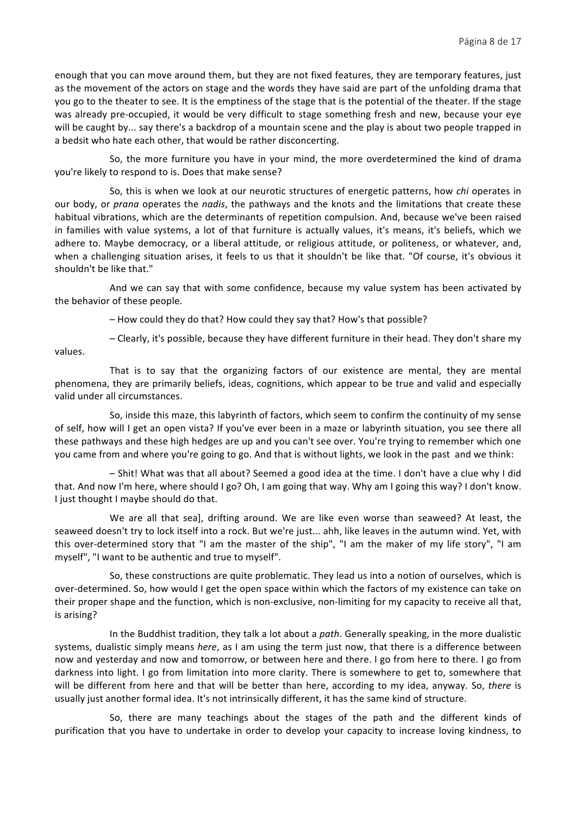enough that you can move around them, but they are not fixed features, they are temporary features, just as the movement of the actors on stage and the words they have said are part of the unfolding drama that you go to the theater to see. It is the emptiness of the stage that is the potential of the theater. If the stage was already pre-occupied, it would be very difficult to stage something fresh and new, because your eye will be caught by... say there's a backdrop of a mountain scene and the play is about two people trapped in a bedsit who hate each other, that would be rather disconcerting.

So, the more furniture you have in your mind, the more overdetermined the kind of drama you're likely to respond to is. Does that make sense?

So, this is when we look at our neurotic structures of energetic patterns, how *chi* operates in our body, or *prana* operates the *nadis*, the pathways and the knots and the limitations that create these habitual vibrations, which are the determinants of repetition compulsion. And, because we've been raised in families with value systems, a lot of that furniture is actually values, it's means, it's beliefs, which we adhere to. Maybe democracy, or a liberal attitude, or religious attitude, or politeness, or whatever, and, when a challenging situation arises, it feels to us that it shouldn't be like that. "Of course, it's obvious it shouldn't be like that."

And we can say that with some confidence, because my value system has been activated by the behavior of these people.

– How could they do that? How could they say that? How's that possible?

- Clearly, it's possible, because they have different furniture in their head. They don't share my values.

That is to say that the organizing factors of our existence are mental, they are mental phenomena, they are primarily beliefs, ideas, cognitions, which appear to be true and valid and especially valid under all circumstances.

So, inside this maze, this labyrinth of factors, which seem to confirm the continuity of my sense of self, how will I get an open vista? If you've ever been in a maze or labyrinth situation, you see there all these pathways and these high hedges are up and you can't see over. You're trying to remember which one you came from and where you're going to go. And that is without lights, we look in the past and we think:

- Shit! What was that all about? Seemed a good idea at the time. I don't have a clue why I did that. And now I'm here, where should I go? Oh, I am going that way. Why am I going this way? I don't know. I just thought I maybe should do that.

We are all that sea], drifting around. We are like even worse than seaweed? At least, the seaweed doesn't try to lock itself into a rock. But we're just... ahh, like leaves in the autumn wind. Yet, with this over-determined story that "I am the master of the ship", "I am the maker of my life story", "I am myself", "I want to be authentic and true to myself".

So, these constructions are quite problematic. They lead us into a notion of ourselves, which is over-determined. So, how would I get the open space within which the factors of my existence can take on their proper shape and the function, which is non-exclusive, non-limiting for my capacity to receive all that, is arising?

In the Buddhist tradition, they talk a lot about a *path*. Generally speaking, in the more dualistic systems, dualistic simply means *here*, as I am using the term just now, that there is a difference between now and yesterday and now and tomorrow, or between here and there. I go from here to there. I go from darkness into light. I go from limitation into more clarity. There is somewhere to get to, somewhere that will be different from here and that will be better than here, according to my idea, anyway. So, there is usually just another formal idea. It's not intrinsically different, it has the same kind of structure.

So, there are many teachings about the stages of the path and the different kinds of purification that you have to undertake in order to develop your capacity to increase loving kindness, to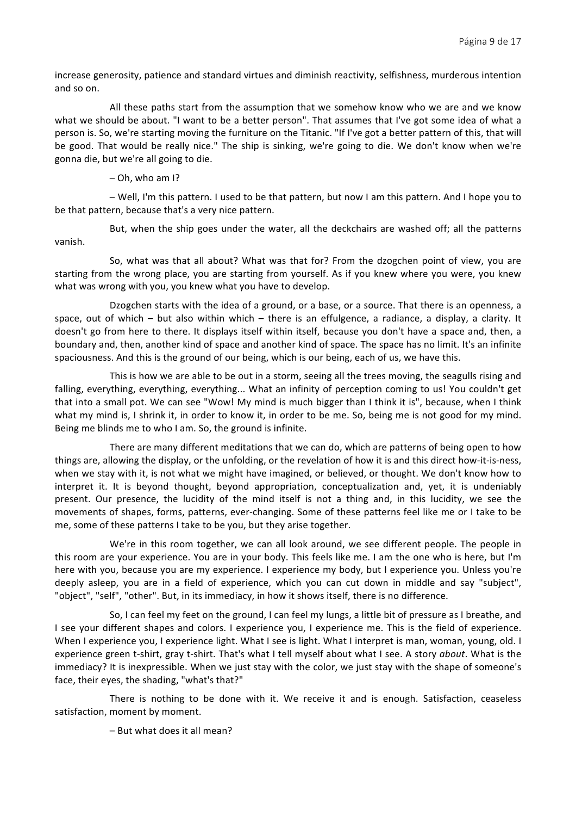increase generosity, patience and standard virtues and diminish reactivity, selfishness, murderous intention and so on.

All these paths start from the assumption that we somehow know who we are and we know what we should be about. "I want to be a better person". That assumes that I've got some idea of what a person is. So, we're starting moving the furniture on the Titanic. "If I've got a better pattern of this, that will be good. That would be really nice." The ship is sinking, we're going to die. We don't know when we're gonna die, but we're all going to die.

 $-$  Oh, who am I?

– Well, I'm this pattern. I used to be that pattern, but now I am this pattern. And I hope you to be that pattern, because that's a very nice pattern.

But, when the ship goes under the water, all the deckchairs are washed off; all the patterns vanish.

So, what was that all about? What was that for? From the dzogchen point of view, you are starting from the wrong place, you are starting from yourself. As if you knew where you were, you knew what was wrong with you, you knew what you have to develop.

Dzogchen starts with the idea of a ground, or a base, or a source. That there is an openness, a space, out of which  $-$  but also within which  $-$  there is an effulgence, a radiance, a display, a clarity. It doesn't go from here to there. It displays itself within itself, because you don't have a space and, then, a boundary and, then, another kind of space and another kind of space. The space has no limit. It's an infinite spaciousness. And this is the ground of our being, which is our being, each of us, we have this.

This is how we are able to be out in a storm, seeing all the trees moving, the seagulls rising and falling, everything, everything, everything... What an infinity of perception coming to us! You couldn't get that into a small pot. We can see "Wow! My mind is much bigger than I think it is", because, when I think what my mind is, I shrink it, in order to know it, in order to be me. So, being me is not good for my mind. Being me blinds me to who I am. So, the ground is infinite.

There are many different meditations that we can do, which are patterns of being open to how things are, allowing the display, or the unfolding, or the revelation of how it is and this direct how-it-is-ness, when we stay with it, is not what we might have imagined, or believed, or thought. We don't know how to interpret it. It is beyond thought, beyond appropriation, conceptualization and, yet, it is undeniably present. Our presence, the lucidity of the mind itself is not a thing and, in this lucidity, we see the movements of shapes, forms, patterns, ever-changing. Some of these patterns feel like me or I take to be me, some of these patterns I take to be you, but they arise together.

We're in this room together, we can all look around, we see different people. The people in this room are your experience. You are in your body. This feels like me. I am the one who is here, but I'm here with you, because you are my experience. I experience my body, but I experience you. Unless you're deeply asleep, you are in a field of experience, which you can cut down in middle and say "subject", "object", "self", "other". But, in its immediacy, in how it shows itself, there is no difference.

So, I can feel my feet on the ground, I can feel my lungs, a little bit of pressure as I breathe, and I see your different shapes and colors. I experience you, I experience me. This is the field of experience. When I experience you, I experience light. What I see is light. What I interpret is man, woman, young, old. I experience green t-shirt, gray t-shirt. That's what I tell myself about what I see. A story *about*. What is the immediacy? It is inexpressible. When we just stay with the color, we just stay with the shape of someone's face, their eyes, the shading, "what's that?"

There is nothing to be done with it. We receive it and is enough. Satisfaction, ceaseless satisfaction, moment by moment.

 $-$  But what does it all mean?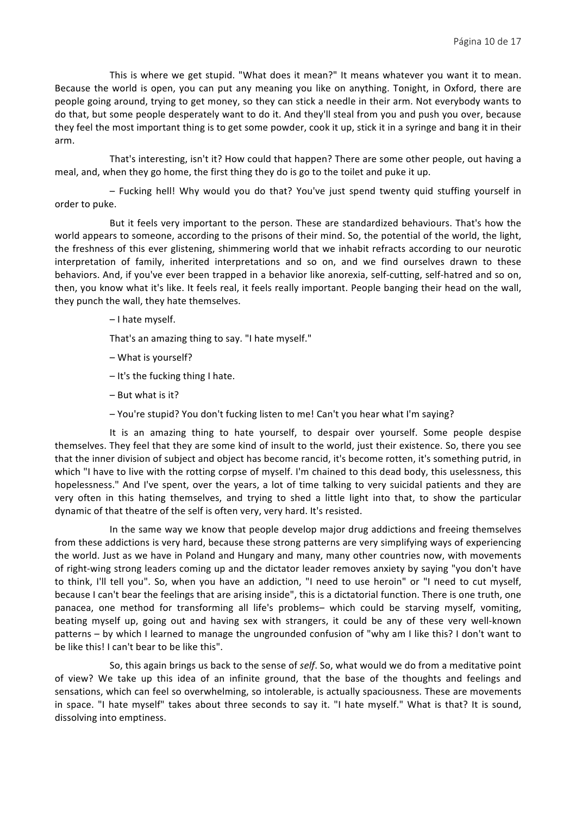This is where we get stupid. "What does it mean?" It means whatever you want it to mean. Because the world is open, you can put any meaning you like on anything. Tonight, in Oxford, there are people going around, trying to get money, so they can stick a needle in their arm. Not everybody wants to do that, but some people desperately want to do it. And they'll steal from you and push you over, because they feel the most important thing is to get some powder, cook it up, stick it in a syringe and bang it in their arm.

That's interesting, isn't it? How could that happen? There are some other people, out having a meal, and, when they go home, the first thing they do is go to the toilet and puke it up.

- Fucking hell! Why would you do that? You've just spend twenty quid stuffing yourself in order to puke.

But it feels very important to the person. These are standardized behaviours. That's how the world appears to someone, according to the prisons of their mind. So, the potential of the world, the light, the freshness of this ever glistening, shimmering world that we inhabit refracts according to our neurotic interpretation of family, inherited interpretations and so on, and we find ourselves drawn to these behaviors. And, if you've ever been trapped in a behavior like anorexia, self-cutting, self-hatred and so on, then, you know what it's like. It feels real, it feels really important. People banging their head on the wall, they punch the wall, they hate themselves.

 $-1$  hate myself.

That's an amazing thing to say. "I hate myself."

- What is vourself?
- $-$  It's the fucking thing I hate.
- $-$  But what is it?
- You're stupid? You don't fucking listen to me! Can't you hear what I'm saying?

It is an amazing thing to hate yourself, to despair over yourself. Some people despise themselves. They feel that they are some kind of insult to the world, just their existence. So, there you see that the inner division of subject and object has become rancid, it's become rotten, it's something putrid, in which "I have to live with the rotting corpse of myself. I'm chained to this dead body, this uselessness, this hopelessness." And I've spent, over the years, a lot of time talking to very suicidal patients and they are very often in this hating themselves, and trying to shed a little light into that, to show the particular dynamic of that theatre of the self is often very, very hard. It's resisted.

In the same way we know that people develop major drug addictions and freeing themselves from these addictions is very hard, because these strong patterns are very simplifying ways of experiencing the world. Just as we have in Poland and Hungary and many, many other countries now, with movements of right-wing strong leaders coming up and the dictator leader removes anxiety by saying "you don't have to think, I'll tell you". So, when you have an addiction, "I need to use heroin" or "I need to cut myself, because I can't bear the feelings that are arising inside", this is a dictatorial function. There is one truth, one panacea, one method for transforming all life's problems- which could be starving myself, vomiting, beating myself up, going out and having sex with strangers, it could be any of these very well-known patterns – by which I learned to manage the ungrounded confusion of "why am I like this? I don't want to be like this! I can't bear to be like this".

So, this again brings us back to the sense of *self*. So, what would we do from a meditative point of view? We take up this idea of an infinite ground, that the base of the thoughts and feelings and sensations, which can feel so overwhelming, so intolerable, is actually spaciousness. These are movements in space. "I hate myself" takes about three seconds to say it. "I hate myself." What is that? It is sound, dissolving into emptiness.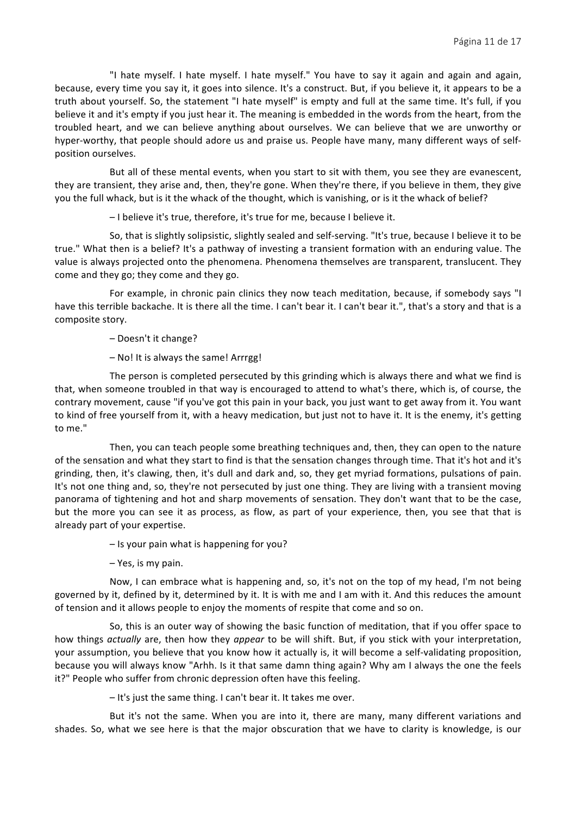"I hate myself. I hate myself. I hate myself." You have to say it again and again and again, because, every time you say it, it goes into silence. It's a construct. But, if you believe it, it appears to be a truth about yourself. So, the statement "I hate myself" is empty and full at the same time. It's full, if you believe it and it's empty if you just hear it. The meaning is embedded in the words from the heart, from the troubled heart, and we can believe anything about ourselves. We can believe that we are unworthy or hyper-worthy, that people should adore us and praise us. People have many, many different ways of selfposition ourselves.

But all of these mental events, when you start to sit with them, you see they are evanescent, they are transient, they arise and, then, they're gone. When they're there, if you believe in them, they give you the full whack, but is it the whack of the thought, which is vanishing, or is it the whack of belief?

- I believe it's true, therefore, it's true for me, because I believe it.

So, that is slightly solipsistic, slightly sealed and self-serving. "It's true, because I believe it to be true." What then is a belief? It's a pathway of investing a transient formation with an enduring value. The value is always projected onto the phenomena. Phenomena themselves are transparent, translucent. They come and they go; they come and they go.

For example, in chronic pain clinics they now teach meditation, because, if somebody says "I have this terrible backache. It is there all the time. I can't bear it. I can't bear it.", that's a story and that is a composite story.

- Doesn't it change?
- No! It is always the same! Arrrgg!

The person is completed persecuted by this grinding which is always there and what we find is that, when someone troubled in that way is encouraged to attend to what's there, which is, of course, the contrary movement, cause "if you've got this pain in your back, you just want to get away from it. You want to kind of free yourself from it, with a heavy medication, but just not to have it. It is the enemy, it's getting to me."

Then, you can teach people some breathing techniques and, then, they can open to the nature of the sensation and what they start to find is that the sensation changes through time. That it's hot and it's grinding, then, it's clawing, then, it's dull and dark and, so, they get myriad formations, pulsations of pain. It's not one thing and, so, they're not persecuted by just one thing. They are living with a transient moving panorama of tightening and hot and sharp movements of sensation. They don't want that to be the case, but the more you can see it as process, as flow, as part of your experience, then, you see that that is already part of your expertise.

 $-$  Is your pain what is happening for you?

 $-$  Yes, is my pain.

Now, I can embrace what is happening and, so, it's not on the top of my head, I'm not being governed by it, defined by it, determined by it. It is with me and I am with it. And this reduces the amount of tension and it allows people to enjoy the moments of respite that come and so on.

So, this is an outer way of showing the basic function of meditation, that if you offer space to how things *actually* are, then how they *appear* to be will shift. But, if you stick with your interpretation, your assumption, you believe that you know how it actually is, it will become a self-validating proposition, because you will always know "Arhh. Is it that same damn thing again? Why am I always the one the feels it?" People who suffer from chronic depression often have this feeling.

 $-$  It's just the same thing. I can't bear it. It takes me over.

But it's not the same. When you are into it, there are many, many different variations and shades. So, what we see here is that the major obscuration that we have to clarity is knowledge, is our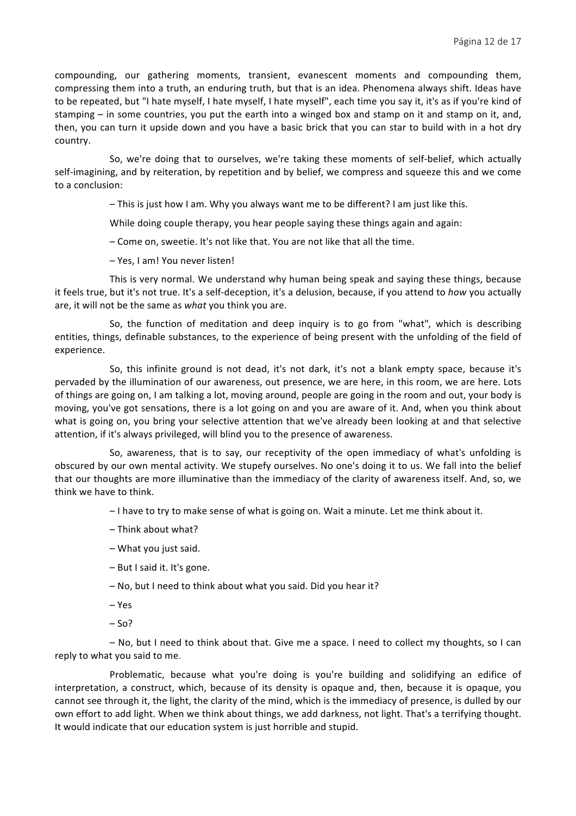compounding, our gathering moments, transient, evanescent moments and compounding them, compressing them into a truth, an enduring truth, but that is an idea. Phenomena always shift. Ideas have to be repeated, but "I hate myself, I hate myself, I hate myself", each time you say it, it's as if you're kind of stamping – in some countries, you put the earth into a winged box and stamp on it and stamp on it, and, then, you can turn it upside down and you have a basic brick that you can star to build with in a hot dry country.

So, we're doing that to ourselves, we're taking these moments of self-belief, which actually self-imagining, and by reiteration, by repetition and by belief, we compress and squeeze this and we come to a conclusion:

 $-$  This is just how I am. Why you always want me to be different? I am just like this.

While doing couple therapy, you hear people saying these things again and again:

– Come on, sweetie, It's not like that. You are not like that all the time.

– Yes, I am! You never listen!

This is very normal. We understand why human being speak and saying these things, because it feels true, but it's not true. It's a self-deception, it's a delusion, because, if you attend to *how* you actually are, it will not be the same as *what* you think you are.

So, the function of meditation and deep inquiry is to go from "what", which is describing entities, things, definable substances, to the experience of being present with the unfolding of the field of experience.

So, this infinite ground is not dead, it's not dark, it's not a blank empty space, because it's pervaded by the illumination of our awareness, out presence, we are here, in this room, we are here. Lots of things are going on, I am talking a lot, moving around, people are going in the room and out, your body is moving, you've got sensations, there is a lot going on and you are aware of it. And, when you think about what is going on, you bring your selective attention that we've already been looking at and that selective attention, if it's always privileged, will blind you to the presence of awareness.

So, awareness, that is to say, our receptivity of the open immediacy of what's unfolding is obscured by our own mental activity. We stupefy ourselves. No one's doing it to us. We fall into the belief that our thoughts are more illuminative than the immediacy of the clarity of awareness itself. And, so, we think we have to think.

 $-1$  have to try to make sense of what is going on. Wait a minute. Let me think about it.

- Think about what?
- What you just said.
- $-$  But I said it. It's gone.
- $-$  No, but I need to think about what you said. Did you hear it?

– Yes 

 $-$  So?

– No, but I need to think about that. Give me a space. I need to collect my thoughts, so I can reply to what you said to me.

Problematic, because what you're doing is you're building and solidifying an edifice of interpretation, a construct, which, because of its density is opaque and, then, because it is opaque, you cannot see through it, the light, the clarity of the mind, which is the immediacy of presence, is dulled by our own effort to add light. When we think about things, we add darkness, not light. That's a terrifying thought. It would indicate that our education system is just horrible and stupid.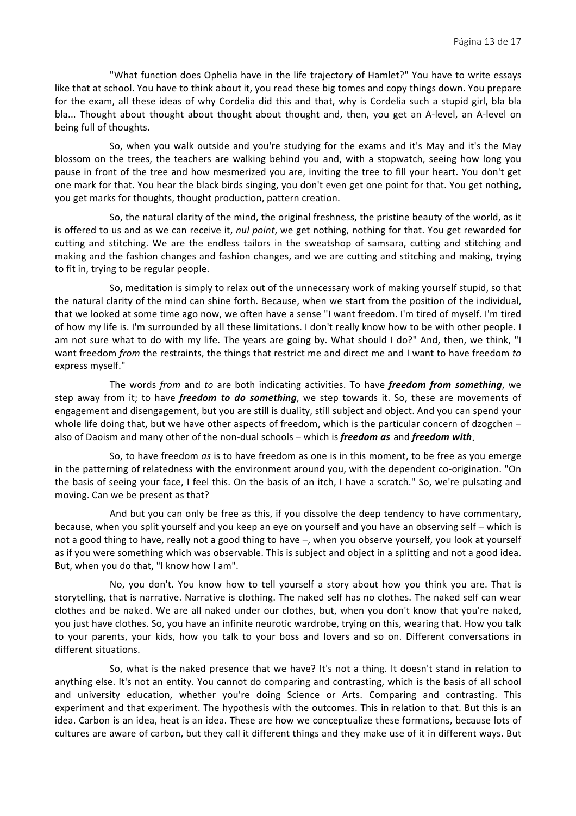"What function does Ophelia have in the life trajectory of Hamlet?" You have to write essays like that at school. You have to think about it, you read these big tomes and copy things down. You prepare for the exam, all these ideas of why Cordelia did this and that, why is Cordelia such a stupid girl, bla bla bla... Thought about thought about thought about thought and, then, you get an A-level, an A-level on being full of thoughts.

So, when you walk outside and you're studying for the exams and it's May and it's the May blossom on the trees, the teachers are walking behind you and, with a stopwatch, seeing how long you pause in front of the tree and how mesmerized you are, inviting the tree to fill your heart. You don't get one mark for that. You hear the black birds singing, you don't even get one point for that. You get nothing, you get marks for thoughts, thought production, pattern creation.

So, the natural clarity of the mind, the original freshness, the pristine beauty of the world, as it is offered to us and as we can receive it, *nul point*, we get nothing, nothing for that. You get rewarded for cutting and stitching. We are the endless tailors in the sweatshop of samsara, cutting and stitching and making and the fashion changes and fashion changes, and we are cutting and stitching and making, trying to fit in, trying to be regular people.

So, meditation is simply to relax out of the unnecessary work of making yourself stupid, so that the natural clarity of the mind can shine forth. Because, when we start from the position of the individual, that we looked at some time ago now, we often have a sense "I want freedom. I'm tired of myself. I'm tired of how my life is. I'm surrounded by all these limitations. I don't really know how to be with other people. I am not sure what to do with my life. The years are going by. What should I do?" And, then, we think, "I want freedom *from* the restraints, the things that restrict me and direct me and I want to have freedom to express myself."

The words *from* and to are both indicating activities. To have *freedom from something*, we step away from it; to have *freedom to do something*, we step towards it. So, these are movements of engagement and disengagement, but you are still is duality, still subject and object. And you can spend your whole life doing that, but we have other aspects of freedom, which is the particular concern of dzogchen – also of Daoism and many other of the non-dual schools – which is *freedom as* and *freedom with*.

So, to have freedom *as* is to have freedom as one is in this moment, to be free as you emerge in the patterning of relatedness with the environment around you, with the dependent co-origination. "On the basis of seeing your face, I feel this. On the basis of an itch, I have a scratch." So, we're pulsating and moving. Can we be present as that?

And but you can only be free as this, if you dissolve the deep tendency to have commentary, because, when you split yourself and you keep an eye on yourself and you have an observing self – which is not a good thing to have, really not a good thing to have  $-$ , when you observe yourself, you look at yourself as if you were something which was observable. This is subject and object in a splitting and not a good idea. But, when you do that, "I know how I am".

No, you don't. You know how to tell yourself a story about how you think you are. That is storytelling, that is narrative. Narrative is clothing. The naked self has no clothes. The naked self can wear clothes and be naked. We are all naked under our clothes, but, when you don't know that you're naked, you just have clothes. So, you have an infinite neurotic wardrobe, trying on this, wearing that. How you talk to your parents, your kids, how you talk to your boss and lovers and so on. Different conversations in different situations.

So, what is the naked presence that we have? It's not a thing. It doesn't stand in relation to anything else. It's not an entity. You cannot do comparing and contrasting, which is the basis of all school and university education, whether you're doing Science or Arts. Comparing and contrasting. This experiment and that experiment. The hypothesis with the outcomes. This in relation to that. But this is an idea. Carbon is an idea, heat is an idea. These are how we conceptualize these formations, because lots of cultures are aware of carbon, but they call it different things and they make use of it in different ways. But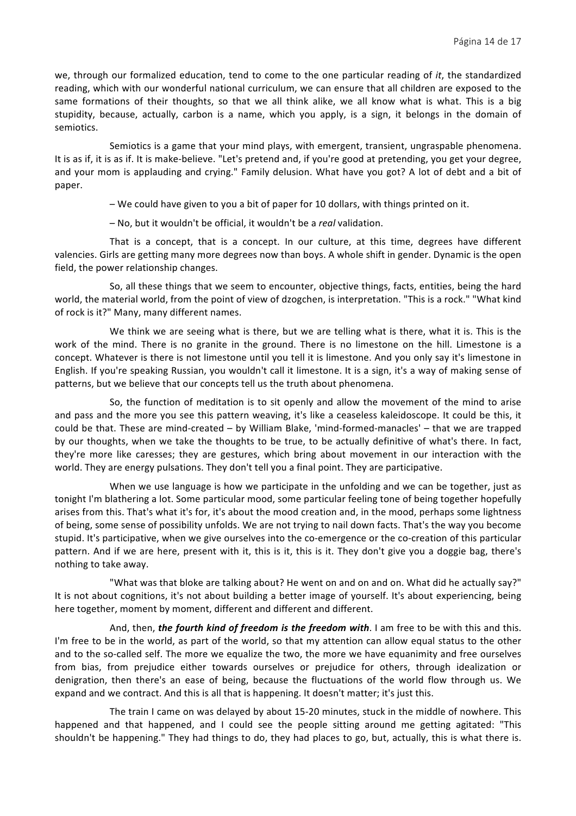we, through our formalized education, tend to come to the one particular reading of *it*, the standardized reading, which with our wonderful national curriculum, we can ensure that all children are exposed to the same formations of their thoughts, so that we all think alike, we all know what is what. This is a big stupidity, because, actually, carbon is a name, which you apply, is a sign, it belongs in the domain of semiotics.

Semiotics is a game that your mind plays, with emergent, transient, ungraspable phenomena. It is as if, it is as if. It is make-believe. "Let's pretend and, if you're good at pretending, you get your degree, and your mom is applauding and crying." Family delusion. What have you got? A lot of debt and a bit of paper.

– We could have given to you a bit of paper for 10 dollars, with things printed on it.

– No, but it wouldn't be official, it wouldn't be a *real* validation.

That is a concept, that is a concept. In our culture, at this time, degrees have different valencies. Girls are getting many more degrees now than boys. A whole shift in gender. Dynamic is the open field, the power relationship changes.

So, all these things that we seem to encounter, objective things, facts, entities, being the hard world, the material world, from the point of view of dzogchen, is interpretation. "This is a rock." "What kind of rock is it?" Many, many different names.

We think we are seeing what is there, but we are telling what is there, what it is. This is the work of the mind. There is no granite in the ground. There is no limestone on the hill. Limestone is a concept. Whatever is there is not limestone until you tell it is limestone. And you only say it's limestone in English. If you're speaking Russian, you wouldn't call it limestone. It is a sign, it's a way of making sense of patterns, but we believe that our concepts tell us the truth about phenomena.

So, the function of meditation is to sit openly and allow the movement of the mind to arise and pass and the more you see this pattern weaving, it's like a ceaseless kaleidoscope. It could be this, it could be that. These are mind-created – by William Blake, 'mind-formed-manacles' – that we are trapped by our thoughts, when we take the thoughts to be true, to be actually definitive of what's there. In fact, they're more like caresses; they are gestures, which bring about movement in our interaction with the world. They are energy pulsations. They don't tell you a final point. They are participative.

When we use language is how we participate in the unfolding and we can be together, just as tonight I'm blathering a lot. Some particular mood, some particular feeling tone of being together hopefully arises from this. That's what it's for, it's about the mood creation and, in the mood, perhaps some lightness of being, some sense of possibility unfolds. We are not trying to nail down facts. That's the way you become stupid. It's participative, when we give ourselves into the co-emergence or the co-creation of this particular pattern. And if we are here, present with it, this is it, this is it. They don't give you a doggie bag, there's nothing to take away.

"What was that bloke are talking about? He went on and on and on. What did he actually say?" It is not about cognitions, it's not about building a better image of yourself. It's about experiencing, being here together, moment by moment, different and different and different.

And, then, *the fourth kind of freedom is the freedom with*. I am free to be with this and this. I'm free to be in the world, as part of the world, so that my attention can allow equal status to the other and to the so-called self. The more we equalize the two, the more we have equanimity and free ourselves from bias, from prejudice either towards ourselves or prejudice for others, through idealization or denigration, then there's an ease of being, because the fluctuations of the world flow through us. We expand and we contract. And this is all that is happening. It doesn't matter; it's just this.

The train I came on was delayed by about 15-20 minutes, stuck in the middle of nowhere. This happened and that happened, and I could see the people sitting around me getting agitated: "This shouldn't be happening." They had things to do, they had places to go, but, actually, this is what there is.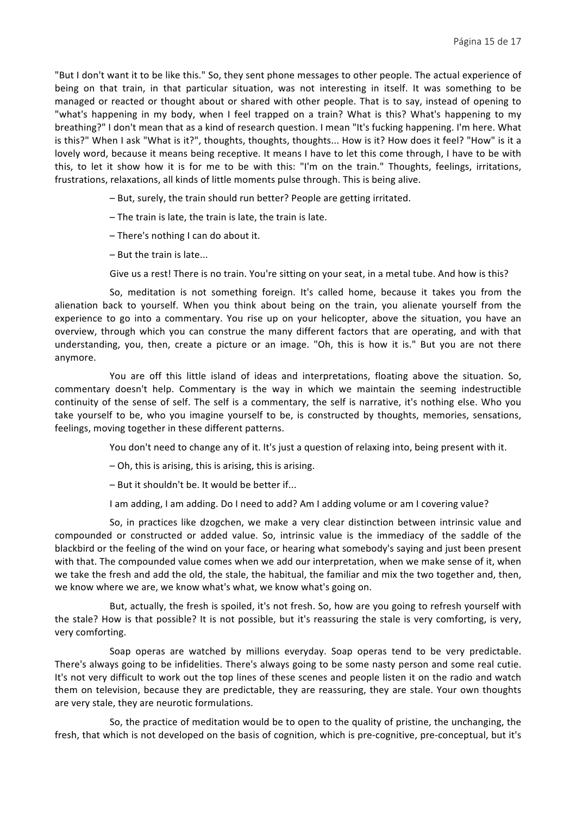"But I don't want it to be like this." So, they sent phone messages to other people. The actual experience of being on that train, in that particular situation, was not interesting in itself. It was something to be managed or reacted or thought about or shared with other people. That is to say, instead of opening to "what's happening in my body, when I feel trapped on a train? What is this? What's happening to my breathing?" I don't mean that as a kind of research question. I mean "It's fucking happening. I'm here. What is this?" When I ask "What is it?", thoughts, thoughts, thoughts... How is it? How does it feel? "How" is it a lovely word, because it means being receptive. It means I have to let this come through, I have to be with this, to let it show how it is for me to be with this: "I'm on the train." Thoughts, feelings, irritations, frustrations, relaxations, all kinds of little moments pulse through. This is being alive.

 $-$  But, surely, the train should run better? People are getting irritated.

 $-$  The train is late, the train is late, the train is late.

 $-$  There's nothing I can do about it.

 $-$  But the train is late...

Give us a rest! There is no train. You're sitting on your seat, in a metal tube. And how is this?

So, meditation is not something foreign. It's called home, because it takes you from the alienation back to yourself. When you think about being on the train, you alienate yourself from the experience to go into a commentary. You rise up on your helicopter, above the situation, you have an overview, through which you can construe the many different factors that are operating, and with that understanding, you, then, create a picture or an image. "Oh, this is how it is." But you are not there anymore.

You are off this little island of ideas and interpretations, floating above the situation. So, commentary doesn't help. Commentary is the way in which we maintain the seeming indestructible continuity of the sense of self. The self is a commentary, the self is narrative, it's nothing else. Who you take yourself to be, who you imagine yourself to be, is constructed by thoughts, memories, sensations, feelings, moving together in these different patterns.

You don't need to change any of it. It's just a question of relaxing into, being present with it.

 $-$  Oh, this is arising, this is arising, this is arising.

 $-$  But it shouldn't be. It would be better if...

I am adding, I am adding. Do I need to add? Am I adding volume or am I covering value?

So, in practices like dzogchen, we make a very clear distinction between intrinsic value and compounded or constructed or added value. So, intrinsic value is the immediacy of the saddle of the blackbird or the feeling of the wind on your face, or hearing what somebody's saying and just been present with that. The compounded value comes when we add our interpretation, when we make sense of it, when we take the fresh and add the old, the stale, the habitual, the familiar and mix the two together and, then, we know where we are, we know what's what, we know what's going on.

But, actually, the fresh is spoiled, it's not fresh. So, how are you going to refresh yourself with the stale? How is that possible? It is not possible, but it's reassuring the stale is very comforting, is very, very comforting.

Soap operas are watched by millions everyday. Soap operas tend to be very predictable. There's always going to be infidelities. There's always going to be some nasty person and some real cutie. It's not very difficult to work out the top lines of these scenes and people listen it on the radio and watch them on television, because they are predictable, they are reassuring, they are stale. Your own thoughts are very stale, they are neurotic formulations.

So, the practice of meditation would be to open to the quality of pristine, the unchanging, the fresh, that which is not developed on the basis of cognition, which is pre-cognitive, pre-conceptual, but it's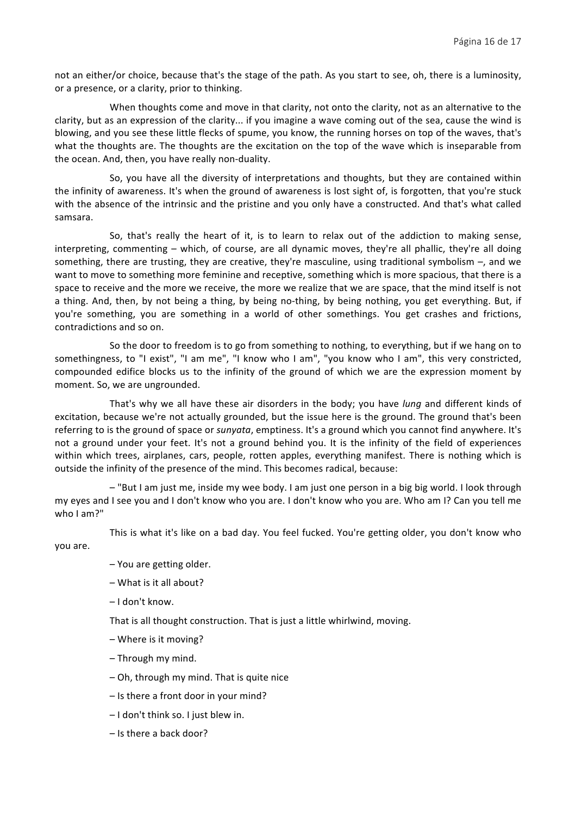not an either/or choice, because that's the stage of the path. As you start to see, oh, there is a luminosity, or a presence, or a clarity, prior to thinking.

When thoughts come and move in that clarity, not onto the clarity, not as an alternative to the clarity, but as an expression of the clarity... if you imagine a wave coming out of the sea, cause the wind is blowing, and you see these little flecks of spume, you know, the running horses on top of the waves, that's what the thoughts are. The thoughts are the excitation on the top of the wave which is inseparable from the ocean. And, then, you have really non-duality.

So, you have all the diversity of interpretations and thoughts, but they are contained within the infinity of awareness. It's when the ground of awareness is lost sight of, is forgotten, that you're stuck with the absence of the intrinsic and the pristine and you only have a constructed. And that's what called samsara.

So, that's really the heart of it, is to learn to relax out of the addiction to making sense, interpreting, commenting – which, of course, are all dynamic moves, they're all phallic, they're all doing something, there are trusting, they are creative, they're masculine, using traditional symbolism  $-$ , and we want to move to something more feminine and receptive, something which is more spacious, that there is a space to receive and the more we receive, the more we realize that we are space, that the mind itself is not a thing. And, then, by not being a thing, by being no-thing, by being nothing, you get everything. But, if you're something, you are something in a world of other somethings. You get crashes and frictions, contradictions and so on.

So the door to freedom is to go from something to nothing, to everything, but if we hang on to somethingness, to "I exist", "I am me", "I know who I am", "you know who I am", this very constricted, compounded edifice blocks us to the infinity of the ground of which we are the expression moment by moment. So, we are ungrounded.

That's why we all have these air disorders in the body; you have *lung* and different kinds of excitation, because we're not actually grounded, but the issue here is the ground. The ground that's been referring to is the ground of space or *sunyata*, emptiness. It's a ground which you cannot find anywhere. It's not a ground under your feet. It's not a ground behind you. It is the infinity of the field of experiences within which trees, airplanes, cars, people, rotten apples, everything manifest. There is nothing which is outside the infinity of the presence of the mind. This becomes radical, because:

– "But I am just me, inside my wee body. I am just one person in a big big world. I look through my eyes and I see you and I don't know who you are. I don't know who you are. Who am I? Can you tell me who I am?"

This is what it's like on a bad day. You feel fucked. You're getting older, you don't know who you are.

- You are getting older.
- $-$  What is it all about?
- I don't know.

That is all thought construction. That is just a little whirlwind, moving.

- Where is it moving?
- $-$  Through my mind.
- Oh, through my mind. That is quite nice
- $-$  Is there a front door in your mind?
- $-$  I don't think so. I just blew in.
- Is there a back door?